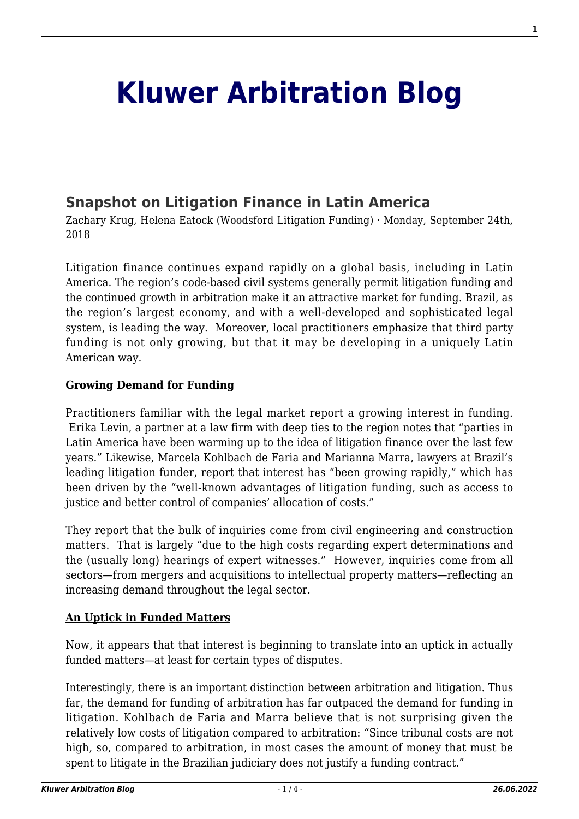# **[Kluwer Arbitration Blog](http://arbitrationblog.kluwerarbitration.com/)**

## **[Snapshot on Litigation Finance in Latin America](http://arbitrationblog.kluwerarbitration.com/2018/09/24/snapshot-on-litigation-finance-in-latin-america/)**

Zachary Krug, Helena Eatock (Woodsford Litigation Funding) · Monday, September 24th, 2018

Litigation finance continues expand rapidly on a global basis, including in Latin America. The region's code-based civil systems generally permit litigation funding and the continued growth in arbitration make it an attractive market for funding. Brazil, as the region's largest economy, and with a well-developed and sophisticated legal system, is leading the way. Moreover, local practitioners emphasize that third party funding is not only growing, but that it may be developing in a uniquely Latin American way.

## **Growing Demand for Funding**

Practitioners familiar with the legal market report a growing interest in funding. Erika Levin, a partner at a law firm with deep ties to the region notes that "parties in Latin America have been warming up to the idea of litigation finance over the last few years." Likewise, Marcela Kohlbach de Faria and Marianna Marra, lawyers at Brazil's leading litigation funder, report that interest has "been growing rapidly," which has been driven by the "well-known advantages of litigation funding, such as access to justice and better control of companies' allocation of costs."

They report that the bulk of inquiries come from civil engineering and construction matters. That is largely "due to the high costs regarding expert determinations and the (usually long) hearings of expert witnesses." However, inquiries come from all sectors—from mergers and acquisitions to intellectual property matters—reflecting an increasing demand throughout the legal sector.

## **An Uptick in Funded Matters**

Now, it appears that that interest is beginning to translate into an uptick in actually funded matters—at least for certain types of disputes.

Interestingly, there is an important distinction between arbitration and litigation. Thus far, the demand for funding of arbitration has far outpaced the demand for funding in litigation. Kohlbach de Faria and Marra believe that is not surprising given the relatively low costs of litigation compared to arbitration: "Since tribunal costs are not high, so, compared to arbitration, in most cases the amount of money that must be spent to litigate in the Brazilian judiciary does not justify a funding contract."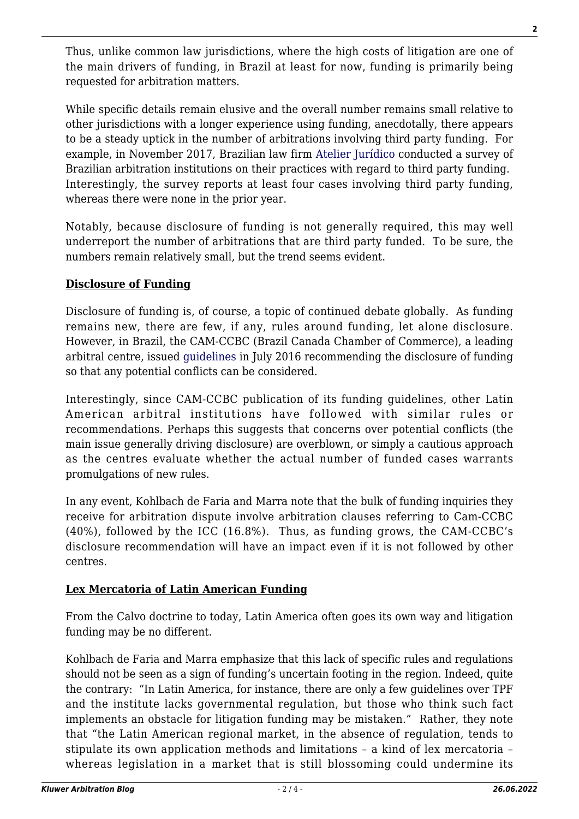Thus, unlike common law jurisdictions, where the high costs of litigation are one of the main drivers of funding, in Brazil at least for now, funding is primarily being requested for arbitration matters.

While specific details remain elusive and the overall number remains small relative to other jurisdictions with a longer experience using funding, anecdotally, there appears to be a steady uptick in the number of arbitrations involving third party funding. For example, in November 2017, Brazilian law firm [Atelier Jurídico](https://woodsfordlitigationfunding.com/wp-content/uploads/2018/01/LitigationFunding_2018_Brazil.pdf) conducted a survey of Brazilian arbitration institutions on their practices with regard to third party funding. Interestingly, the survey reports at least four cases involving third party funding, whereas there were none in the prior year.

Notably, because disclosure of funding is not generally required, this may well underreport the number of arbitrations that are third party funded. To be sure, the numbers remain relatively small, but the trend seems evident.

## **Disclosure of Funding**

Disclosure of funding is, of course, a topic of continued debate globally. As funding remains new, there are few, if any, rules around funding, let alone disclosure. However, in Brazil, the CAM-CCBC (Brazil Canada Chamber of Commerce), a leading arbitral centre, issued [guidelines](http://www.ccbc.org.br/Materia/2890/resolucao-administrativa-182016) in July 2016 recommending the disclosure of funding so that any potential conflicts can be considered.

Interestingly, since CAM-CCBC publication of its funding guidelines, other Latin American arbitral institutions have followed with similar rules or recommendations. Perhaps this suggests that concerns over potential conflicts (the main issue generally driving disclosure) are overblown, or simply a cautious approach as the centres evaluate whether the actual number of funded cases warrants promulgations of new rules.

In any event, Kohlbach de Faria and Marra note that the bulk of funding inquiries they receive for arbitration dispute involve arbitration clauses referring to Cam-CCBC (40%), followed by the ICC (16.8%). Thus, as funding grows, the CAM-CCBC's disclosure recommendation will have an impact even if it is not followed by other centres.

## **Lex Mercatoria of Latin American Funding**

From the Calvo doctrine to today, Latin America often goes its own way and litigation funding may be no different.

Kohlbach de Faria and Marra emphasize that this lack of specific rules and regulations should not be seen as a sign of funding's uncertain footing in the region. Indeed, quite the contrary: "In Latin America, for instance, there are only a few guidelines over TPF and the institute lacks governmental regulation, but those who think such fact implements an obstacle for litigation funding may be mistaken." Rather, they note that "the Latin American regional market, in the absence of regulation, tends to stipulate its own application methods and limitations – a kind of lex mercatoria – whereas legislation in a market that is still blossoming could undermine its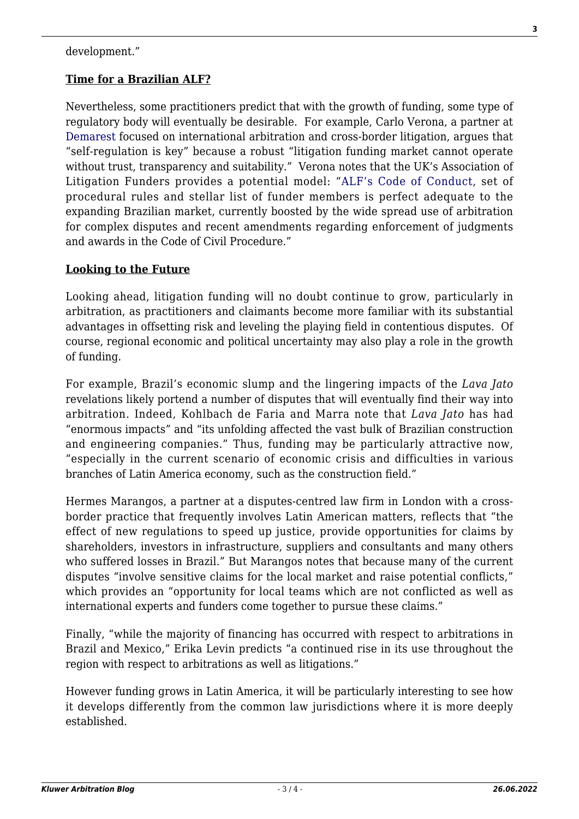#### development."

## **Time for a Brazilian ALF?**

Nevertheless, some practitioners predict that with the growth of funding, some type of regulatory body will eventually be desirable. For example, Carlo Verona, a partner at [Demarest](https://www.demarest.com.br/en-us) focused on international arbitration and cross-border litigation, argues that "self-regulation is key" because a robust "litigation funding market cannot operate without trust, transparency and suitability." Verona notes that the UK's Association of Litigation Funders provides a potential model: "[ALF's Code of Conduct](http://associationoflitigationfunders.com/documents/), set of procedural rules and stellar list of funder members is perfect adequate to the expanding Brazilian market, currently boosted by the wide spread use of arbitration for complex disputes and recent amendments regarding enforcement of judgments and awards in the Code of Civil Procedure."

## **Looking to the Future**

Looking ahead, litigation funding will no doubt continue to grow, particularly in arbitration, as practitioners and claimants become more familiar with its substantial advantages in offsetting risk and leveling the playing field in contentious disputes. Of course, regional economic and political uncertainty may also play a role in the growth of funding.

For example, Brazil's economic slump and the lingering impacts of the *Lava Jato* revelations likely portend a number of disputes that will eventually find their way into arbitration. Indeed, Kohlbach de Faria and Marra note that *Lava Jato* has had "enormous impacts" and "its unfolding affected the vast bulk of Brazilian construction and engineering companies." Thus, funding may be particularly attractive now, "especially in the current scenario of economic crisis and difficulties in various branches of Latin America economy, such as the construction field."

Hermes Marangos, a partner at a disputes-centred law firm in London with a crossborder practice that frequently involves Latin American matters, reflects that "the effect of new regulations to speed up justice, provide opportunities for claims by shareholders, investors in infrastructure, suppliers and consultants and many others who suffered losses in Brazil." But Marangos notes that because many of the current disputes "involve sensitive claims for the local market and raise potential conflicts," which provides an "opportunity for local teams which are not conflicted as well as international experts and funders come together to pursue these claims."

Finally, "while the majority of financing has occurred with respect to arbitrations in Brazil and Mexico," Erika Levin predicts "a continued rise in its use throughout the region with respect to arbitrations as well as litigations."

However funding grows in Latin America, it will be particularly interesting to see how it develops differently from the common law jurisdictions where it is more deeply established.